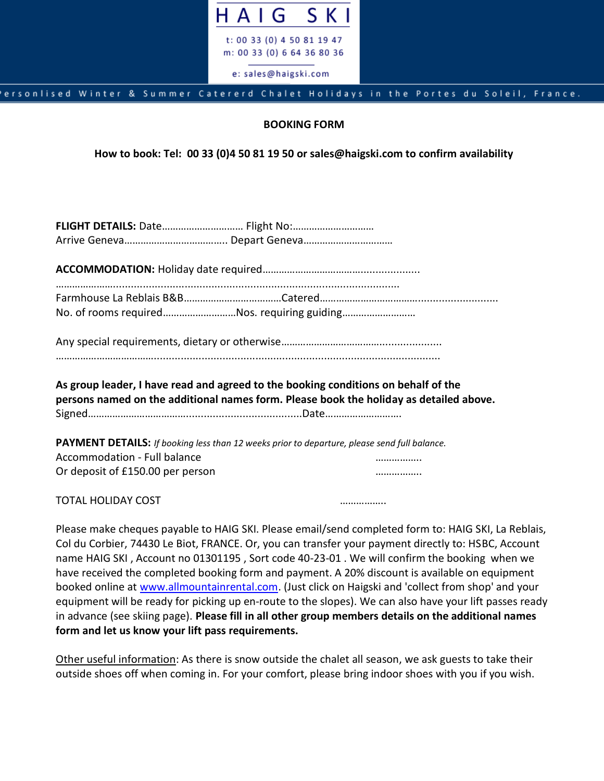

## ersonlised Winter & Summer Catererd Chalet Holidays in the Portes du Soleil, France.

## **BOOKING FORM**

**How to book: Tel: 00 33 (0)4 50 81 19 50 or sales@haigski.com to confirm availability**

| No. of rooms requiredNos. requiring guiding                                                                                                                                  |  |  |  |
|------------------------------------------------------------------------------------------------------------------------------------------------------------------------------|--|--|--|
|                                                                                                                                                                              |  |  |  |
| As group leader, I have read and agreed to the booking conditions on behalf of the<br>persons named on the additional names form. Please book the holiday as detailed above. |  |  |  |
| <b>PAYMENT DETAILS:</b> If booking less than 12 weeks prior to departure, please send full balance.                                                                          |  |  |  |
| Accommodation - Full balance                                                                                                                                                 |  |  |  |
| Or deposit of £150.00 per person                                                                                                                                             |  |  |  |
| <b>TOTAL HOLIDAY COST</b>                                                                                                                                                    |  |  |  |

Please make cheques payable to HAIG SKI. Please email/send completed form to: HAIG SKI, La Reblais, Col du Corbier, 74430 Le Biot, FRANCE. Or, you can transfer your payment directly to: HSBC, Account name HAIG SKI , Account no 01301195 , Sort code 40-23-01 . We will confirm the booking when we have received the completed booking form and payment. A 20% discount is available on equipment booked online at [www.allmountainrental.com.](http://www.allmountainrental.com/) (Just click on Haigski and 'collect from shop' and your equipment will be ready for picking up en-route to the slopes). We can also have your lift passes ready in advance (see skiing page). **Please fill in all other group members details on the additional names form and let us know your lift pass requirements.**

Other useful information: As there is snow outside the chalet all season, we ask guests to take their outside shoes off when coming in. For your comfort, please bring indoor shoes with you if you wish.